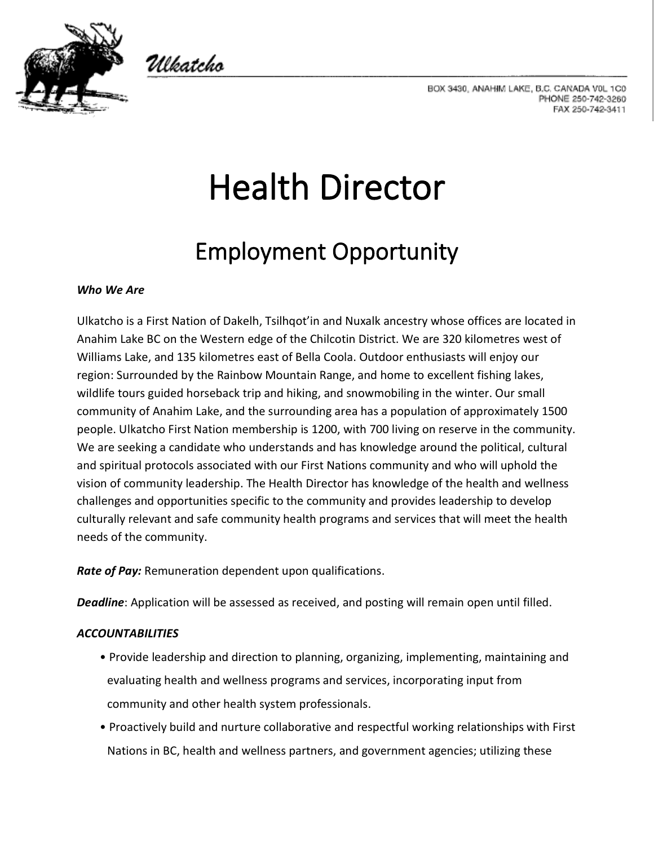

Ulkatcho

BOX 3430, ANAHIM LAKE, B.C. CANADA V0L 1C0 PHONE 250-742-3260 FAX 250-742-3411

# Health Director

# Employment Opportunity

## *Who We Are*

Ulkatcho is a First Nation of Dakelh, Tsilhqot'in and Nuxalk ancestry whose offices are located in Anahim Lake BC on the Western edge of the Chilcotin District. We are 320 kilometres west of Williams Lake, and 135 kilometres east of Bella Coola. Outdoor enthusiasts will enjoy our region: Surrounded by the Rainbow Mountain Range, and home to excellent fishing lakes, wildlife tours guided horseback trip and hiking, and snowmobiling in the winter. Our small community of Anahim Lake, and the surrounding area has a population of approximately 1500 people. Ulkatcho First Nation membership is 1200, with 700 living on reserve in the community. We are seeking a candidate who understands and has knowledge around the political, cultural and spiritual protocols associated with our First Nations community and who will uphold the vision of community leadership. The Health Director has knowledge of the health and wellness challenges and opportunities specific to the community and provides leadership to develop culturally relevant and safe community health programs and services that will meet the health needs of the community.

*Rate of Pay:* Remuneration dependent upon qualifications.

*Deadline*: Application will be assessed as received, and posting will remain open until filled.

## *ACCOUNTABILITIES*

- Provide leadership and direction to planning, organizing, implementing, maintaining and evaluating health and wellness programs and services, incorporating input from community and other health system professionals.
- Proactively build and nurture collaborative and respectful working relationships with First Nations in BC, health and wellness partners, and government agencies; utilizing these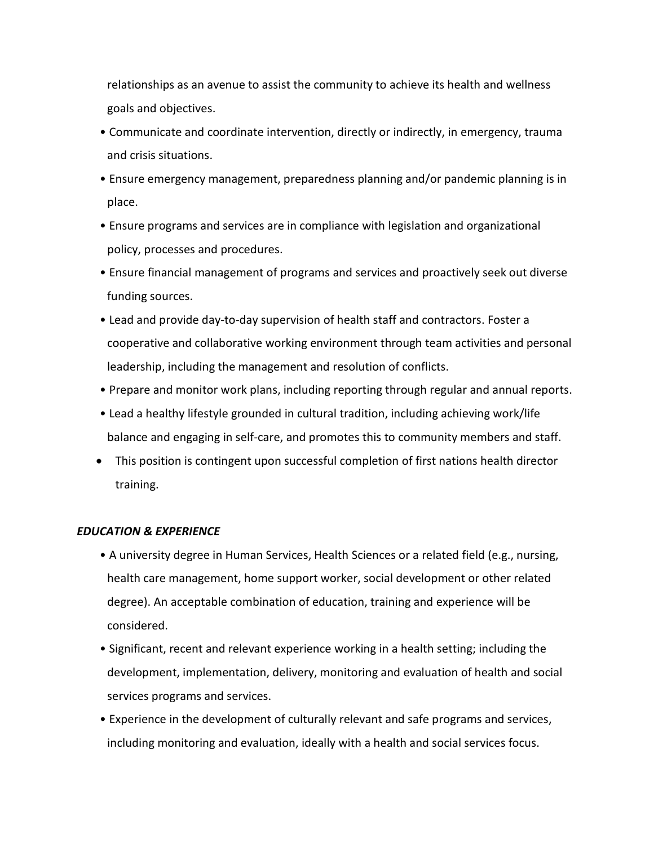relationships as an avenue to assist the community to achieve its health and wellness goals and objectives.

- Communicate and coordinate intervention, directly or indirectly, in emergency, trauma and crisis situations.
- Ensure emergency management, preparedness planning and/or pandemic planning is in place.
- Ensure programs and services are in compliance with legislation and organizational policy, processes and procedures.
- Ensure financial management of programs and services and proactively seek out diverse funding sources.
- Lead and provide day-to-day supervision of health staff and contractors. Foster a cooperative and collaborative working environment through team activities and personal leadership, including the management and resolution of conflicts.
- Prepare and monitor work plans, including reporting through regular and annual reports.
- Lead a healthy lifestyle grounded in cultural tradition, including achieving work/life balance and engaging in self-care, and promotes this to community members and staff.
- This position is contingent upon successful completion of first nations health director training.

#### *EDUCATION & EXPERIENCE*

- A university degree in Human Services, Health Sciences or a related field (e.g., nursing, health care management, home support worker, social development or other related degree). An acceptable combination of education, training and experience will be considered.
- Significant, recent and relevant experience working in a health setting; including the development, implementation, delivery, monitoring and evaluation of health and social services programs and services.
- Experience in the development of culturally relevant and safe programs and services, including monitoring and evaluation, ideally with a health and social services focus.